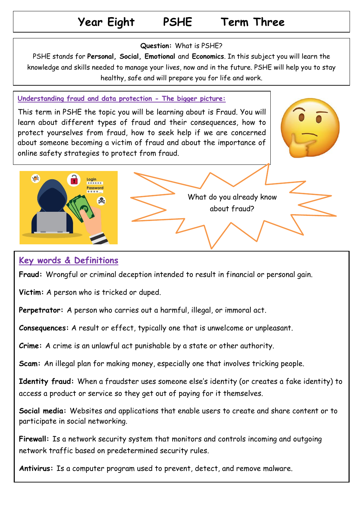# **Year Eight PSHE Term Three**

#### **Question:** What is PSHE?

PSHE stands for **Personal, Social, Emotional** and **Economics**. In this subject you will learn the knowledge and skills needed to manage your lives, now and in the future. PSHE will help you to stay healthy, safe and will prepare you for life and work.

## **Understanding fraud and data protection - The bigger picture:**

This term in PSHE the topic you will be learning about is Fraud. You will learn about different types of fraud and their consequences, how to protect yourselves from fraud, how to seek help if we are concerned about someone becoming a victim of fraud and about the importance of online safety strategies to protect from fraud.





## **Key words & Definitions**

**Fraud:** Wrongful or criminal deception intended to result in financial or personal gain.

**Victim:** A person who is tricked or duped.

**Perpetrator:** A person who carries out a harmful, illegal, or immoral act.

**Consequences:** A result or effect, typically one that is unwelcome or unpleasant.

**Crime:** A crime is an unlawful act punishable by a state or other authority.

**Scam:** An [illegal](https://dictionary.cambridge.org/dictionary/english/illegal) [plan](https://dictionary.cambridge.org/dictionary/english/plan) for making [money,](https://dictionary.cambridge.org/dictionary/english/money) [especially](https://dictionary.cambridge.org/dictionary/english/especially) one that [involves](https://dictionary.cambridge.org/dictionary/english/involve) [tricking](https://dictionary.cambridge.org/dictionary/english/trick) [people.](https://dictionary.cambridge.org/dictionary/english/people)

**Identity fraud:** When a fraudster uses someone else's identity (or creates a fake identity) to access a product or service so they get out of paying for it themselves.

**Social media:** Websites and applications that enable users to create and share content or to participate in social networking.

**Firewall:** Is a network security system that monitors and controls incoming and outgoing network traffic based on predetermined security rules.

**Antivirus:** Is a computer program used to prevent, detect, and remove malware.